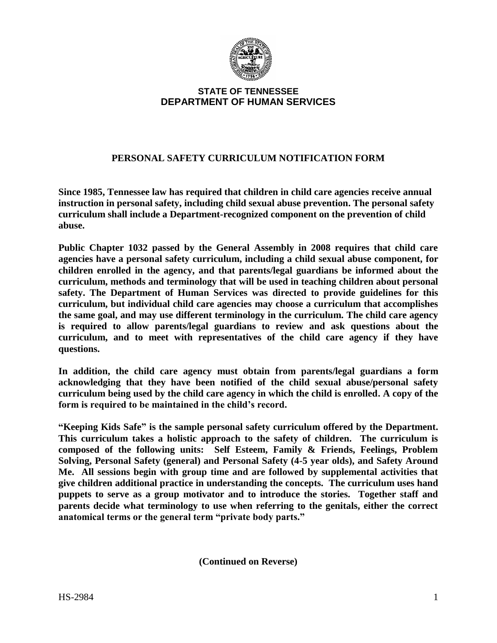

### **STATE OF TENNESSEE DEPARTMENT OF HUMAN SERVICES**

## **PERSONAL SAFETY CURRICULUM NOTIFICATION FORM**

**Since 1985, Tennessee law has required that children in child care agencies receive annual instruction in personal safety, including child sexual abuse prevention. The personal safety curriculum shall include a Department-recognized component on the prevention of child abuse.**

**Public Chapter 1032 passed by the General Assembly in 2008 requires that child care agencies have a personal safety curriculum, including a child sexual abuse component, for children enrolled in the agency, and that parents/legal guardians be informed about the curriculum, methods and terminology that will be used in teaching children about personal safety. The Department of Human Services was directed to provide guidelines for this curriculum, but individual child care agencies may choose a curriculum that accomplishes the same goal, and may use different terminology in the curriculum. The child care agency is required to allow parents/legal guardians to review and ask questions about the curriculum, and to meet with representatives of the child care agency if they have questions.**

**In addition, the child care agency must obtain from parents/legal guardians a form acknowledging that they have been notified of the child sexual abuse/personal safety curriculum being used by the child care agency in which the child is enrolled. A copy of the form is required to be maintained in the child's record.**

**"Keeping Kids Safe" is the sample personal safety curriculum offered by the Department. This curriculum takes a holistic approach to the safety of children. The curriculum is composed of the following units: Self Esteem, Family & Friends, Feelings, Problem Solving, Personal Safety (general) and Personal Safety (4-5 year olds), and Safety Around Me. All sessions begin with group time and are followed by supplemental activities that give children additional practice in understanding the concepts. The curriculum uses hand puppets to serve as a group motivator and to introduce the stories. Together staff and parents decide what terminology to use when referring to the genitals, either the correct anatomical terms or the general term "private body parts."** 

**(Continued on Reverse)**